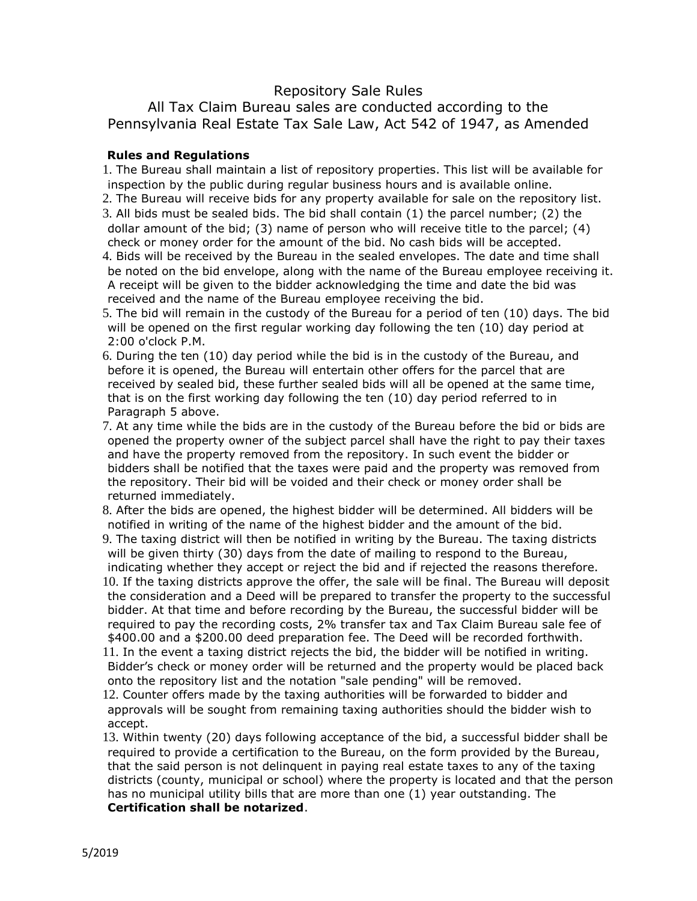## Repository Sale Rules

All Tax Claim Bureau sales are conducted according to the Pennsylvania Real Estate Tax Sale Law, Act 542 of 1947, as Amended

## **Rules and Regulations**

1. The Bureau shall maintain a list of repository properties. This list will be available for inspection by the public during regular business hours and is available online.

- 2. The Bureau will receive bids for any property available for sale on the repository list.
- 3. All bids must be sealed bids. The bid shall contain (1) the parcel number; (2) the dollar amount of the bid; (3) name of person who will receive title to the parcel; (4) check or money order for the amount of the bid. No cash bids will be accepted.
- 4. Bids will be received by the Bureau in the sealed envelopes. The date and time shall be noted on the bid envelope, along with the name of the Bureau employee receiving it. A receipt will be given to the bidder acknowledging the time and date the bid was received and the name of the Bureau employee receiving the bid.
- 5. The bid will remain in the custody of the Bureau for a period of ten (10) days. The bid will be opened on the first regular working day following the ten (10) day period at 2:00 o'clock P.M.
- 6. During the ten (10) day period while the bid is in the custody of the Bureau, and before it is opened, the Bureau will entertain other offers for the parcel that are received by sealed bid, these further sealed bids will all be opened at the same time, that is on the first working day following the ten (10) day period referred to in Paragraph 5 above.
- 7. At any time while the bids are in the custody of the Bureau before the bid or bids are opened the property owner of the subject parcel shall have the right to pay their taxes and have the property removed from the repository. In such event the bidder or bidders shall be notified that the taxes were paid and the property was removed from the repository. Their bid will be voided and their check or money order shall be returned immediately.

8. After the bids are opened, the highest bidder will be determined. All bidders will be notified in writing of the name of the highest bidder and the amount of the bid.

9. The taxing district will then be notified in writing by the Bureau. The taxing districts will be given thirty (30) days from the date of mailing to respond to the Bureau,

indicating whether they accept or reject the bid and if rejected the reasons therefore. 10. If the taxing districts approve the offer, the sale will be final. The Bureau will deposit the consideration and a Deed will be prepared to transfer the property to the successful bidder. At that time and before recording by the Bureau, the successful bidder will be required to pay the recording costs, 2% transfer tax and Tax Claim Bureau sale fee of \$400.00 and a \$200.00 deed preparation fee. The Deed will be recorded forthwith. 11. In the event a taxing district rejects the bid, the bidder will be notified in writing. Bidder's check or money order will be returned and the property would be placed back

onto the repository list and the notation "sale pending" will be removed.

12. Counter offers made by the taxing authorities will be forwarded to bidder and approvals will be sought from remaining taxing authorities should the bidder wish to accept.

13. Within twenty (20) days following acceptance of the bid, a successful bidder shall be required to provide a certification to the Bureau, on the form provided by the Bureau, that the said person is not delinquent in paying real estate taxes to any of the taxing districts (county, municipal or school) where the property is located and that the person has no municipal utility bills that are more than one (1) year outstanding. The **Certification shall be notarized**.